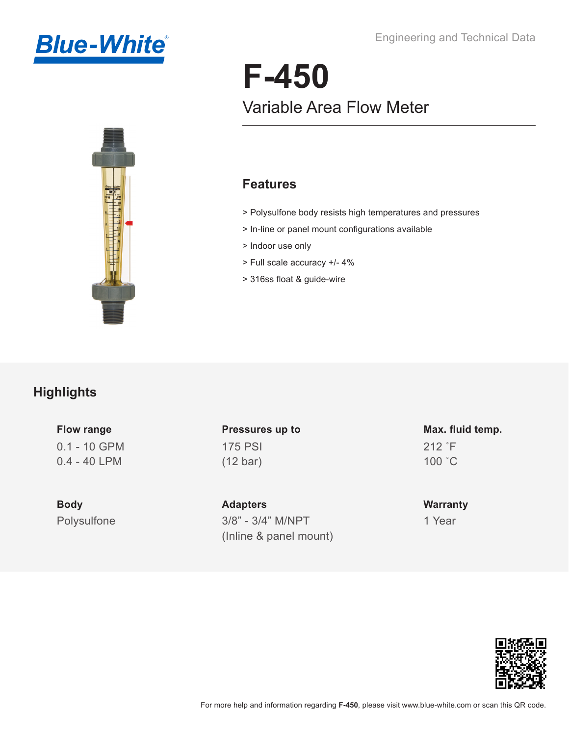



# **F-450** Variable Area Flow Meter

#### **Features**

- > Polysulfone body resists high temperatures and pressures
- > In-line or panel mount configurations available
- > Indoor use only
- > Full scale accuracy +/- 4%
- > 316ss float & guide-wire

#### **Highlights**

0.1 - 10 GPM 0.4 - 40 LPM **Flow range**

Polysulfone **Body**

175 PSI (12 bar) **Pressures up to**

3/8" - 3/4" M/NPT (Inline & panel mount) **Adapters**

212 ˚F 100 ˚C **Max. fluid temp.**

1 Year **Warranty**

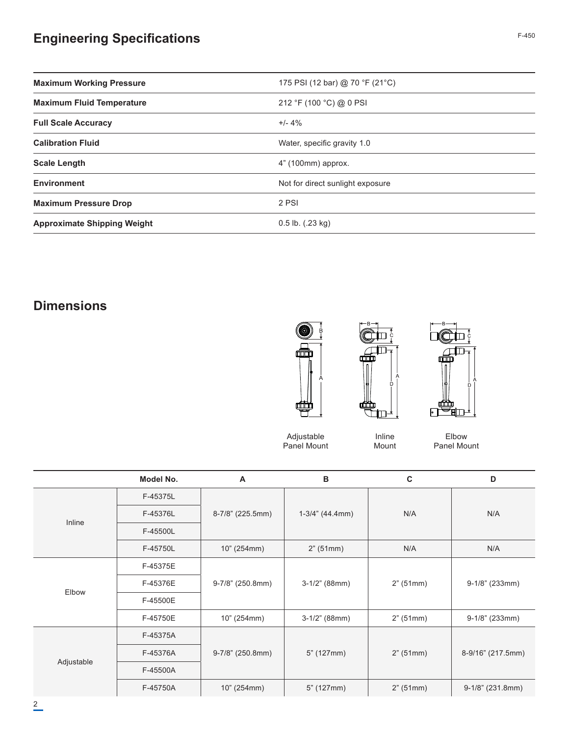## **Engineering Specifications**

| <b>Maximum Working Pressure</b>    | 175 PSI (12 bar) @ 70 °F (21 °C) |  |
|------------------------------------|----------------------------------|--|
| <b>Maximum Fluid Temperature</b>   | 212 °F (100 °C) @ 0 PSI          |  |
| <b>Full Scale Accuracy</b>         | $+/- 4\%$                        |  |
| <b>Calibration Fluid</b>           | Water, specific gravity 1.0      |  |
| <b>Scale Length</b>                | 4" (100mm) approx.               |  |
| <b>Environment</b>                 | Not for direct sunlight exposure |  |
| <b>Maximum Pressure Drop</b>       | 2 PSI                            |  |
| <b>Approximate Shipping Weight</b> | $0.5$ lb. $(.23$ kg)             |  |

## **Dimensions**







Adjustable Panel Mount

Inline Mount

Elbow Panel Mount

|            | Model No. | A                | B                  | C         | D                 |
|------------|-----------|------------------|--------------------|-----------|-------------------|
| Inline     | F-45375L  | 8-7/8" (225.5mm) | $1-3/4$ " (44.4mm) | N/A       | N/A               |
|            | F-45376L  |                  |                    |           |                   |
|            | F-45500L  |                  |                    |           |                   |
|            | F-45750L  | 10" (254mm)      | 2" (51mm)          | N/A       | N/A               |
| Elbow      | F-45375E  | 9-7/8" (250.8mm) | $3-1/2$ " (88mm)   | 2" (51mm) | $9-1/8$ " (233mm) |
|            | F-45376E  |                  |                    |           |                   |
|            | F-45500E  |                  |                    |           |                   |
|            | F-45750E  | 10" (254mm)      | $3-1/2$ " (88mm)   | 2" (51mm) | $9-1/8$ " (233mm) |
| Adjustable | F-45375A  | 9-7/8" (250.8mm) | 5" (127mm)         | 2" (51mm) | 8-9/16" (217.5mm) |
|            | F-45376A  |                  |                    |           |                   |
|            | F-45500A  |                  |                    |           |                   |
|            | F-45750A  | 10" (254mm)      | 5" (127mm)         | 2" (51mm) | 9-1/8" (231.8mm)  |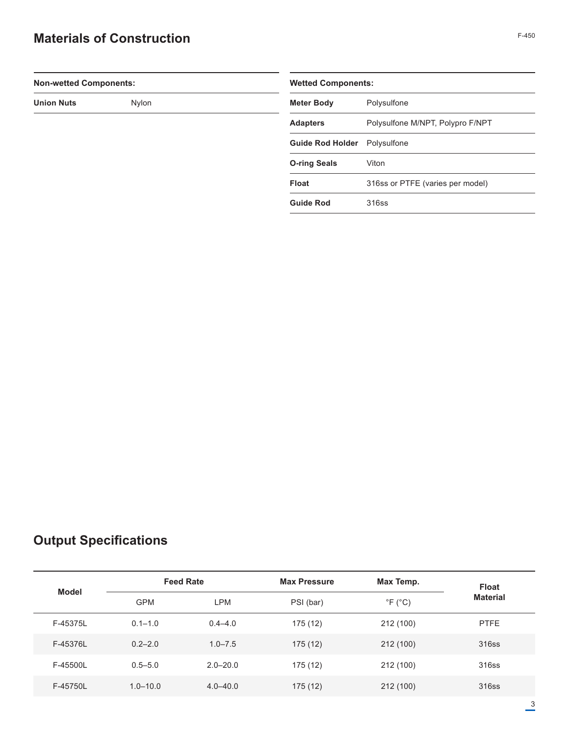### **Materials of Construction**

| ۰.<br>×<br>۰,<br>× |
|--------------------|
|--------------------|

| <b>Non-wetted Components:</b> |  |                         | <b>Wetted Components:</b>        |  |  |
|-------------------------------|--|-------------------------|----------------------------------|--|--|
| <b>Union Nuts</b><br>Nylon    |  | <b>Meter Body</b>       | Polysulfone                      |  |  |
|                               |  | <b>Adapters</b>         | Polysulfone M/NPT, Polypro F/NPT |  |  |
|                               |  | <b>Guide Rod Holder</b> | Polysulfone                      |  |  |
|                               |  | <b>O-ring Seals</b>     | Viton                            |  |  |
|                               |  | Float                   | 316ss or PTFE (varies per model) |  |  |
|                               |  | <b>Guide Rod</b>        | 316ss                            |  |  |
|                               |  |                         |                                  |  |  |

## **Output Specifications**

| <b>Model</b> |              | <b>Feed Rate</b><br><b>Max Pressure</b> |           | Max Temp.                  | <b>Float</b>    |
|--------------|--------------|-----------------------------------------|-----------|----------------------------|-----------------|
|              | <b>GPM</b>   | <b>LPM</b>                              | PSI (bar) | $\degree$ F ( $\degree$ C) | <b>Material</b> |
| F-45375L     | $0.1 - 1.0$  | $0.4 - 4.0$                             | 175 (12)  | 212 (100)                  | <b>PTFE</b>     |
| F-45376L     | $0.2 - 2.0$  | $1.0 - 7.5$                             | 175(12)   | 212 (100)                  | 316ss           |
| F-45500L     | $0.5 - 5.0$  | $2.0 - 20.0$                            | 175(12)   | 212 (100)                  | 316ss           |
| F-45750L     | $1.0 - 10.0$ | $4.0 - 40.0$                            | 175 (12)  | 212 (100)                  | 316ss           |